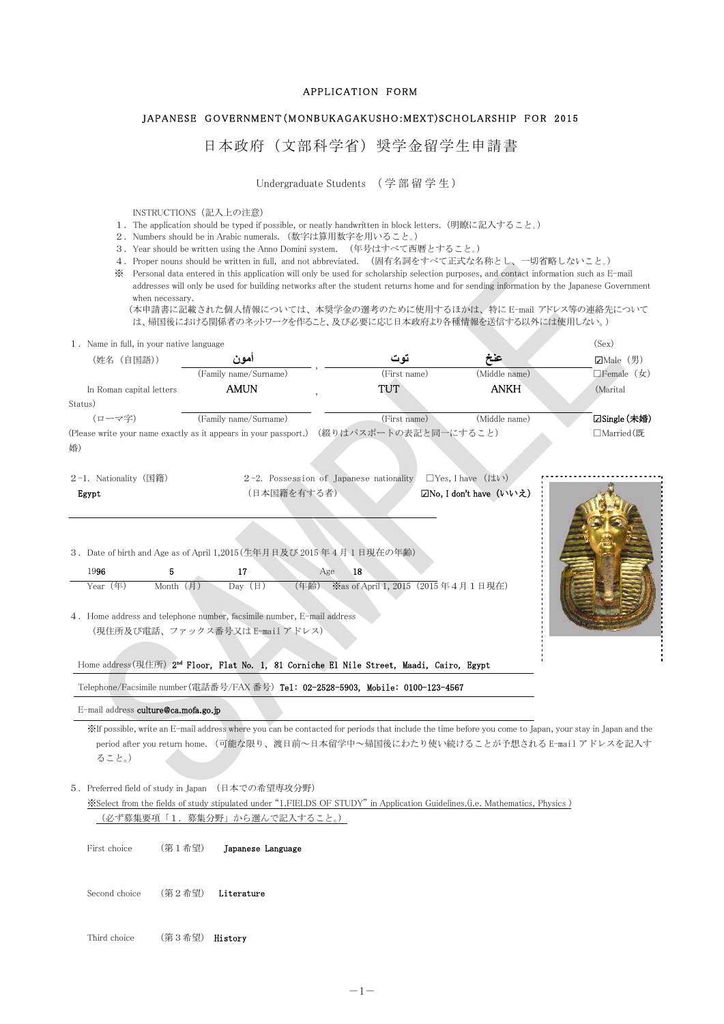## APPLICATION FORM

## JAPANESE GOVERNMENT(MONBUKAGAKUSHO:MEXT) SCHOLARSHIP FOR 2015

日本政府(文部科学省)奨学金留学生申請書

Undergraduate Students (学部留学生)

INSTRUCTIONS(記入上の注意)

- 1.The application should be typed if possible, or neatly handwritten in block letters.(明瞭に記入すること。)
- 2. Numbers should be in Arabic numerals. (数字は算用数字を用いること。)
- 3.Year should be written using the Anno Domini system. (年号はすべて西暦とすること。)
- 4. Proper nouns should be written in full, and not abbreviated. (固有名詞をすべて正式な名称とし、一切省略しないこと。)
- ※ Personal data entered in this application will only be used for scholarship selection purposes, and contact information such as E-mail addresses will only be used for building networks after the student returns home and for sending information by the Japanese Government when necessary.

(本申請書に記載された個人情報については、本奨学金の選考のために使用するほかは、特に E-mail アドレス等の連絡先について は、帰国後における関係者のネットワークを作ること、及び必要に応じ日本政府より各種情報を送信する以外には使用しない。)

| 1. Name in full, in your native language |                                                                                                                                                                                                                                                                  |                                                      |                         | (Sex)                        |
|------------------------------------------|------------------------------------------------------------------------------------------------------------------------------------------------------------------------------------------------------------------------------------------------------------------|------------------------------------------------------|-------------------------|------------------------------|
| (姓名 (自国語))                               | امو ن                                                                                                                                                                                                                                                            | تو ت                                                 | عنخ                     | $\Box$ Male (男)              |
|                                          | (Family name/Surname)                                                                                                                                                                                                                                            | (First name)                                         | (Middle name)           | $\Box$ Female $(\nexists x)$ |
| In Roman capital letters                 | AMUN                                                                                                                                                                                                                                                             | TUT                                                  | ANKH                    | (Marital                     |
| Status)                                  |                                                                                                                                                                                                                                                                  |                                                      |                         |                              |
| (ローマ字)                                   | (Family name/Surname)                                                                                                                                                                                                                                            | (First name)                                         | (Middle name)           | <b>□Single (未婚)</b>          |
|                                          | (Please write your name exactly as it appears in your passport.) (綴りはパスポートの表記と同一にすること)                                                                                                                                                                           |                                                      |                         | □Married (既                  |
| 婚)                                       |                                                                                                                                                                                                                                                                  |                                                      |                         |                              |
|                                          |                                                                                                                                                                                                                                                                  |                                                      |                         |                              |
| 2-1. Nationality (国籍)                    |                                                                                                                                                                                                                                                                  | 2-2. Possession of Japanese nationality              | $\Box$ Yes, I have (はい) |                              |
| Egypt                                    | (日本国籍を有する者)                                                                                                                                                                                                                                                      |                                                      | ☑No, I don't have (いいえ) |                              |
| 1996<br>Year (年)                         | 5<br>17<br>$Month$ (月)<br>Day $(\boxplus)$<br>4. Home address and telephone number, facsimile number, E-mail address<br>(現住所及び電話、ファックス番号又は E-mail アドレス)<br>Home address (現住所) 2 <sup>nd</sup> Floor, Flat No. 1, 81 Corniche El Nile Street, Maadi, Cairo, Egypt | 18<br>Age<br>(年齢) ※as of April 1, 2015 (2015年4月1日現在) |                         |                              |
|                                          | Telephone/Facsimile number(電話番号/FAX 番号) Tel: 02-2528-5903, Mobile: 0100-123-4567                                                                                                                                                                                 |                                                      |                         |                              |
| E-mail address culture@ca.mofa.go.jp     |                                                                                                                                                                                                                                                                  |                                                      |                         |                              |
| ること。)                                    | XIf possible, write an E-mail address where you can be contacted for periods that include the time before you come to Japan, your stay in Japan and the<br>period after you return home. (可能な限り、渡日前~日本留学中~帰国後にわたり使い続けることが予想される E-mail アドレスを記入す                   |                                                      |                         |                              |
|                                          | 5. Preferred field of study in Japan (日本での希望専攻分野)                                                                                                                                                                                                                |                                                      |                         |                              |
|                                          | Select from the fields of study stipulated under "1.FIELDS OF STUDY" in Application Guidelines. (i.e. Mathematics, Physics)                                                                                                                                      |                                                      |                         |                              |
|                                          | (必ず募集要項「1.募集分野」から選んで記入すること。)                                                                                                                                                                                                                                     |                                                      |                         |                              |
|                                          |                                                                                                                                                                                                                                                                  |                                                      |                         |                              |
| First choice                             | (第1希望)<br>Japanese Language                                                                                                                                                                                                                                      |                                                      |                         |                              |
|                                          |                                                                                                                                                                                                                                                                  |                                                      |                         |                              |
|                                          |                                                                                                                                                                                                                                                                  |                                                      |                         |                              |
| Second choice                            | (第2希望)<br>Literature                                                                                                                                                                                                                                             |                                                      |                         |                              |
|                                          |                                                                                                                                                                                                                                                                  |                                                      |                         |                              |
|                                          |                                                                                                                                                                                                                                                                  |                                                      |                         |                              |
| Third choice                             | (第3希望)<br>History                                                                                                                                                                                                                                                |                                                      |                         |                              |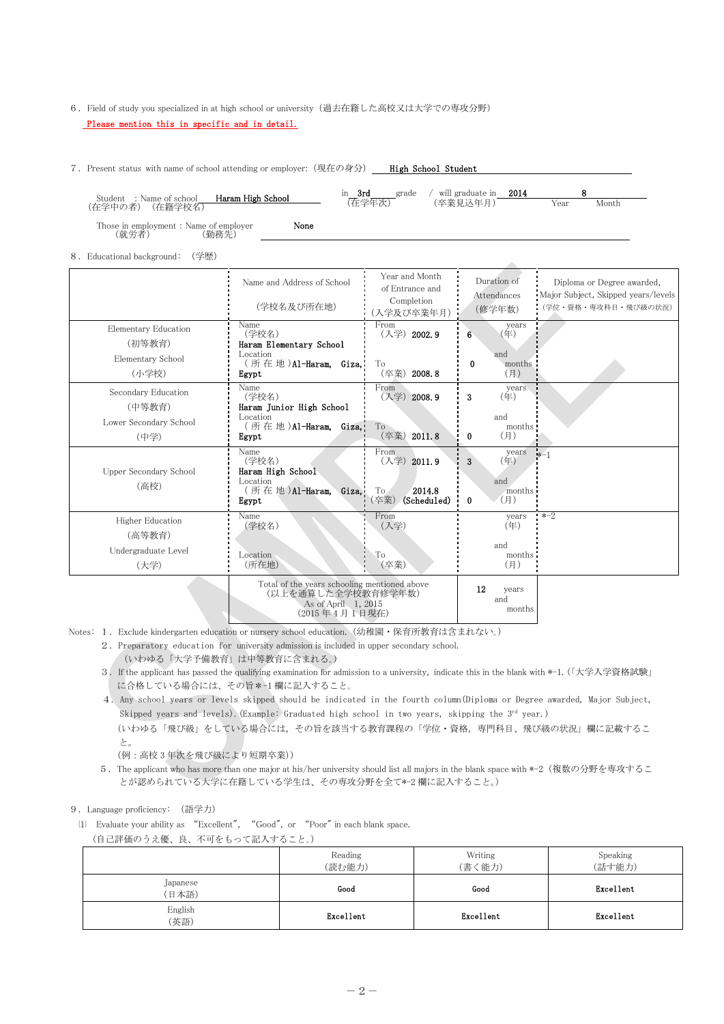## 6.Field of study you specialized in at high school or university(過去在籍した高校又は大学での専攻分野) Please mention this in specific and in detail.

7. Present status with name of school attending or employer: (現在の身分) htigh School Student

- Student :Name of school - **Haram High School**<br>(在学中の者)(在籍学校名) in **3rd** grade / will graduate in  $\frac{2014}{\text{(在学年)}}$  8<br>(卒業見込年月) Year (在学年次) (卒業見込年月) Year Month Those in employment : Name of employer **None** (就労者) (勤務先) (就労者) (勤務先)

8.Educational background: (学歴)

|                                       | Name and Address of School<br>(学校名及び所在地)                                                  | Year and Month<br>of Entrance and<br>Completion<br>(入学及び卒業年月)          | Duration of<br>Attendances<br>(修学年数)           | Diploma or Degree awarded,<br>Major Subject, Skipped years/levels<br>(学位・資格・専攻科目・飛び級の状況) |
|---------------------------------------|-------------------------------------------------------------------------------------------|------------------------------------------------------------------------|------------------------------------------------|------------------------------------------------------------------------------------------|
| <b>Elementary Education</b><br>(初等教育) | Name<br>(学校名)<br>Haram Elementary School                                                  | From<br>(入学) 2002.9                                                    | years<br>(年)<br>6                              |                                                                                          |
| Elementary School<br>(小学校)            | Location<br>(所在地)Al-Haram, Giza,<br>Egypt                                                 | To<br>2008.8<br>(卒業)                                                   | and<br>$\bf{0}$<br>months<br>(月)               |                                                                                          |
| Secondary Education<br>(中等教育)         | Name<br>(学校名)<br>Haram Junior High School                                                 | From<br>(入学) 2008.9                                                    | years<br>(年)<br>3                              |                                                                                          |
| Lower Secondary School<br>(中学)        | Location<br>(所在地)Al-Haram.<br>Giza,<br>Egypt                                              | To<br>2011.8<br>(卒業)                                                   | and<br>months<br>(月)<br>0                      |                                                                                          |
| Upper Secondary School<br>(高校)        | Name<br>(学校名)<br>Haram High School<br>Location<br>(所在地)Al-Haram.<br>Giza,<br>Egypt        | From<br>(入学) 2011.9<br>2014.8<br>T <sub>o</sub><br>(Scheduled)<br>(卒業) | years<br>3<br>(年)<br>and<br>months<br>(月)<br>0 | $*-1$                                                                                    |
| <b>Higher Education</b><br>(高等教育)     | Name<br>(学校名)                                                                             | From<br>(入学)                                                           | years<br>(年)                                   | $* - 2$                                                                                  |
| Undergraduate Level<br>(大学)           | Location<br>(所在地)                                                                         | To<br>(卒業)                                                             | and<br>months<br>(月)                           |                                                                                          |
|                                       | Total of the years schooling mentioned above<br>(以上を通算した全学校教育修学年数)<br>As of April 1, 2015 |                                                                        | 12<br>years<br>and                             |                                                                                          |

(2015 年 4 月 1 日現在) Notes: 1.Exclude kindergarten education or nursery school education. (幼稚園・保育所教育は含まれない。)

2. Preparatory education for university admission is included in upper secondary school.

(いわゆる「大学予備教育」は中等教育に含まれる。)

3.If the applicant has passed the qualifying examination for admission to a university, indicate this in the blank with \*-1.(「大学入学資格試験」 に合格している場合には、その旨\*-1 欄に記入すること。

months

- 4.Any school years or levels skipped should be indicated in the fourth column(Diploma or Degree awarded, Major Subject, Skipped years and levels). (Example: Graduated high school in two years, skipping the  $3^{rd}$  year.) (いわゆる「飛び級」をしている場合には,その旨を該当する教育課程の「学位・資格,専門科目、飛び級の状況」欄に記載するこ
- と。 (例:高校 3 年次を飛び級により短期卒業))
- 5.The applicant who has more than one major at his/her university should list all majors in the blank space with \*-2(複数の分野を専攻するこ とが認められている大学に在籍している学生は、その専攻分野を全て\*-2 欄に記入すること。)

9.Language proficiency: (語学力)

(1) Evaluate your ability as "Excellent", "Good", or "Poor" in each blank space. (自己評価のうえ優、良、不可をもって記入すること。)

Reading (読む能力) Writing (書く能力) Speaking (話す能力) Japanese (日本語) Good Good Excellent English (英語) Excellent Ricellent Excellent Excellent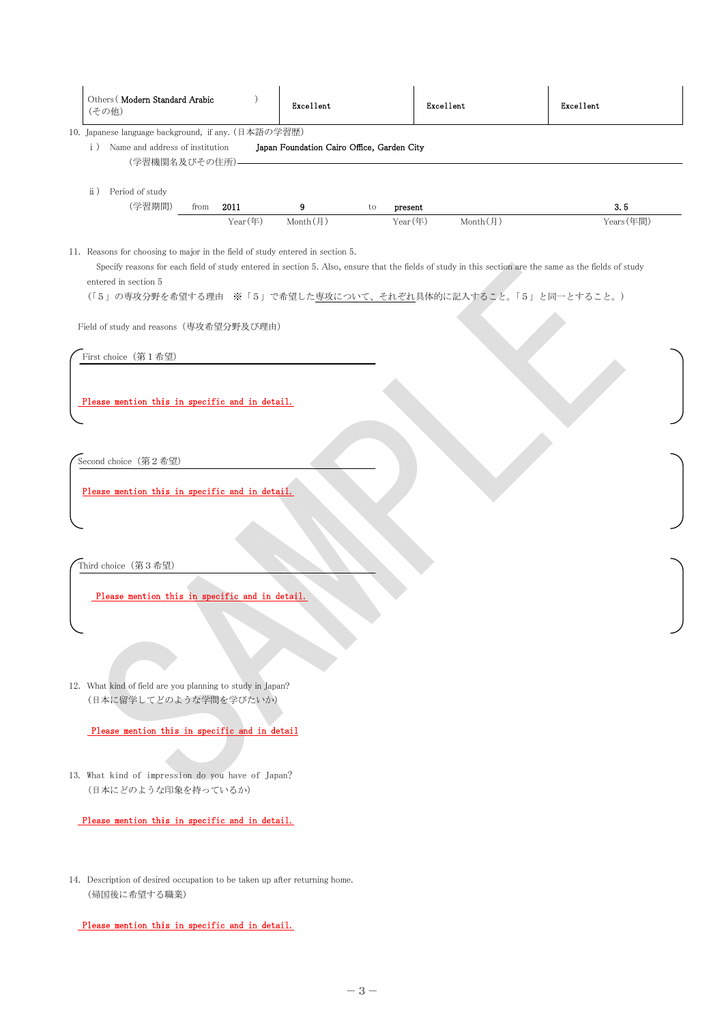| Others (Modern Standard Arabic<br>(その他)                                                                                                                            |              | Excellent           |    | Excellent |                                                                                                                                                                                                                                      | Excellent  |
|--------------------------------------------------------------------------------------------------------------------------------------------------------------------|--------------|---------------------|----|-----------|--------------------------------------------------------------------------------------------------------------------------------------------------------------------------------------------------------------------------------------|------------|
| 10. Japanese language background, if any. (日本語の学習歴)<br>$\rm i$ )<br>Name and address of institution<br>Japan Foundation Cairo Office, Garden City<br>(学習機関名及びその住所) |              |                     |    |           |                                                                                                                                                                                                                                      |            |
| Period of study<br>$\rm ii$ )<br>(学習期間)                                                                                                                            | 2011<br>from | 9                   | to | present   |                                                                                                                                                                                                                                      | 3.5        |
| 11. Reasons for choosing to major in the field of study entered in section 5.<br>entered in section 5<br>Field of study and reasons (専攻希望分野及び理由)                   |              | Year(年)<br>Month(月) |    | Year(年)   | Month(月)<br>Specify reasons for each field of study entered in section 5. Also, ensure that the fields of study in this section are the same as the fields of study<br>(「5」の専攻分野を希望する理由 ※「5」で希望した専攻について、それぞれ具体的に記入すること。「5」と同一とすること。) | Years (年間) |
| First choice (第1希望)                                                                                                                                                |              |                     |    |           |                                                                                                                                                                                                                                      |            |
| Please mention this in specific and in detail.                                                                                                                     |              |                     |    |           |                                                                                                                                                                                                                                      |            |
| Second choice (第2希望)                                                                                                                                               |              |                     |    |           |                                                                                                                                                                                                                                      |            |
| Please mention this in specific and in detail.                                                                                                                     |              |                     |    |           |                                                                                                                                                                                                                                      |            |
| Third choice (第3希望)                                                                                                                                                |              |                     |    |           |                                                                                                                                                                                                                                      |            |
| Please mention this in specific and in detail.                                                                                                                     |              |                     |    |           |                                                                                                                                                                                                                                      |            |
| 12. What kind of field are you planning to study in Japan?<br>(日本に留学してどのような学問を学びたいか)                                                                               |              |                     |    |           |                                                                                                                                                                                                                                      |            |
| Please mention this in specific and in detail                                                                                                                      |              |                     |    |           |                                                                                                                                                                                                                                      |            |
| 13. What kind of impression do you have of Japan?<br>(日本にどのような印象を持っているか)                                                                                           |              |                     |    |           |                                                                                                                                                                                                                                      |            |
| Please mention this in specific and in detail.                                                                                                                     |              |                     |    |           |                                                                                                                                                                                                                                      |            |
| 14. Description of desired occupation to be taken up after returning home.<br>(帰国後に希望する職業)                                                                         |              |                     |    |           |                                                                                                                                                                                                                                      |            |

Please mention this in specific and in detail.